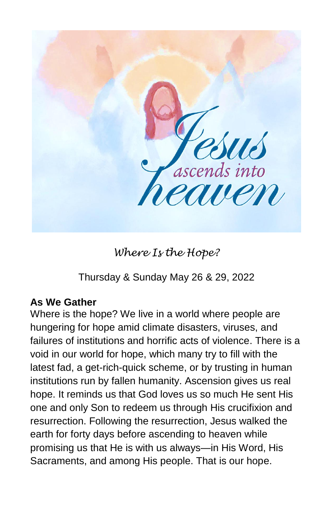

*Where Is the Hope?*

Thursday & Sunday May 26 & 29, 2022

## **As We Gather**

Where is the hope? We live in a world where people are hungering for hope amid climate disasters, viruses, and failures of institutions and horrific acts of violence. There is a void in our world for hope, which many try to fill with the latest fad, a get-rich-quick scheme, or by trusting in human institutions run by fallen humanity. Ascension gives us real hope. It reminds us that God loves us so much He sent His one and only Son to redeem us through His crucifixion and resurrection. Following the resurrection, Jesus walked the earth for forty days before ascending to heaven while promising us that He is with us always—in His Word, His Sacraments, and among His people. That is our hope.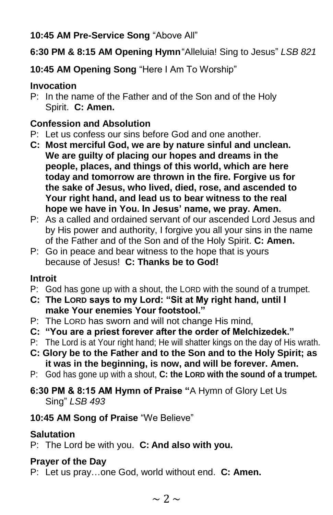**10:45 AM Pre-Service Song** "Above All"

**6:30 PM & 8:15 AM Opening Hymn**"Alleluia! Sing to Jesus" *LSB 821*

**10:45 AM Opening Song** "Here I Am To Worship"

## **Invocation**

P: In the name of the Father and of the Son and of the Holy Spirit. **C: Amen.**

# **Confession and Absolution**

- P: Let us confess our sins before God and one another.
- **C: Most merciful God, we are by nature sinful and unclean. We are guilty of placing our hopes and dreams in the people, places, and things of this world, which are here today and tomorrow are thrown in the fire. Forgive us for the sake of Jesus, who lived, died, rose, and ascended to Your right hand, and lead us to bear witness to the real hope we have in You. In Jesus' name, we pray. Amen.**
- P: As a called and ordained servant of our ascended Lord Jesus and by His power and authority, I forgive you all your sins in the name of the Father and of the Son and of the Holy Spirit. **C: Amen.**
- P: Go in peace and bear witness to the hope that is yours because of Jesus! **C: Thanks be to God!**

# **Introit**

- P: God has gone up with a shout, the LORD with the sound of a trumpet.
- **C: The LORD says to my Lord: "Sit at My right hand, until I make Your enemies Your footstool."**
- P: The LORD has sworn and will not change His mind,
- **C: "You are a priest forever after the order of Melchizedek."**
- P: The Lord is at Your right hand; He will shatter kings on the day of His wrath.
- **C: Glory be to the Father and to the Son and to the Holy Spirit; as it was in the beginning, is now, and will be forever. Amen.**
- P: God has gone up with a shout, **C: the LORD with the sound of a trumpet.**
- **6:30 PM & 8:15 AM Hymn of Praise "**A Hymn of Glory Let Us Sing" *LSB 493*

# **10:45 AM Song of Praise** "We Believe"

# **Salutation**

P: The Lord be with you. **C: And also with you.**

# **Prayer of the Day**

P: Let us pray…one God, world without end. **C: Amen.**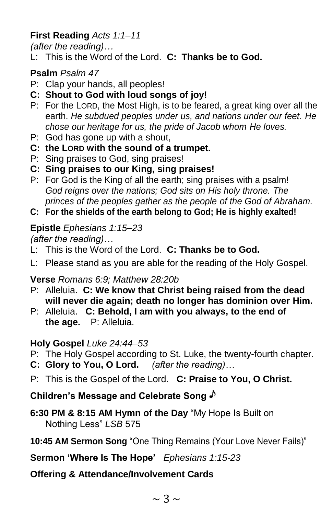## **First Reading** *Acts 1:1–11*

*(after the reading)…*

L: This is the Word of the Lord. **C: Thanks be to God.**

## **Psalm** *Psalm 47*

- P: Clap your hands, all peoples!
- **C: Shout to God with loud songs of joy!**
- P: For the LORD, the Most High, is to be feared, a great king over all the earth. *He subdued peoples under us, and nations under our feet. He chose our heritage for us, the pride of Jacob whom He loves.*
- P: God has gone up with a shout,
- **C: the LORD with the sound of a trumpet.**
- P: Sing praises to God, sing praises!
- **C: Sing praises to our King, sing praises!**
- P: For God is the King of all the earth; sing praises with a psalm! *God reigns over the nations; God sits on His holy throne. The princes of the peoples gather as the people of the God of Abraham.*
- **C: For the shields of the earth belong to God; He is highly exalted!**

## **Epistle** *Ephesians 1:15–23*

*(after the reading)…*

- L: This is the Word of the Lord. **C: Thanks be to God.**
- L: Please stand as you are able for the reading of the Holy Gospel.

## **Verse** *Romans 6:9; Matthew 28:20b*

- P: Alleluia. **C: We know that Christ being raised from the dead will never die again; death no longer has dominion over Him.**
- P: Alleluia. **C: Behold, I am with you always, to the end of the age.** P: Alleluia.

## **Holy Gospel** *Luke 24:44–53*

- P: The Holy Gospel according to St. Luke, the twenty-fourth chapter.
- **C: Glory to You, O Lord.** *(after the reading)…*
- P: This is the Gospel of the Lord. **C: Praise to You, O Christ.**

# **Children's Message and Celebrate Song**

- **6:30 PM & 8:15 AM Hymn of the Day** "My Hope Is Built on Nothing Less" *LSB* 575
- **10:45 AM Sermon Song** "One Thing Remains (Your Love Never Fails)"

## **Sermon 'Where Is The Hope'** *Ephesians 1:15-23*

# **Offering & Attendance/Involvement Cards**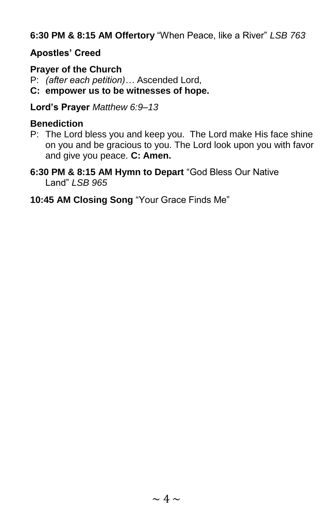**6:30 PM & 8:15 AM Offertory** "When Peace, like a River" *LSB 763*

## **Apostles' Creed**

## **Prayer of the Church**

P: *(after each petition)…* Ascended Lord,

**C: empower us to be witnesses of hope.**

**Lord's Prayer** *Matthew 6:9–13*

## **Benediction**

P: The Lord bless you and keep you. The Lord make His face shine on you and be gracious to you. The Lord look upon you with favor and give you peace. **C: Amen.**

**6:30 PM & 8:15 AM Hymn to Depart** "God Bless Our Native Land" *LSB 965*

## **10:45 AM Closing Song** "Your Grace Finds Me"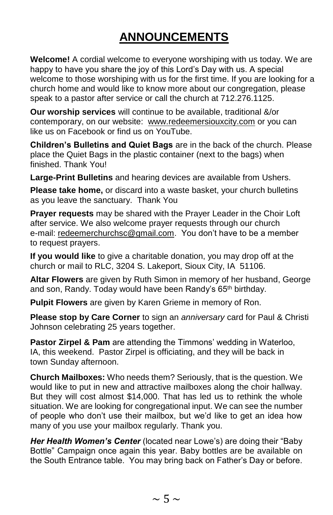# **ANNOUNCEMENTS**

**Welcome!** A cordial welcome to everyone worshiping with us today. We are happy to have you share the joy of this Lord's Day with us. A special welcome to those worshiping with us for the first time. If you are looking for a church home and would like to know more about our congregation, please speak to a pastor after service or call the church at 712.276.1125.

**Our worship services** will continue to be available, traditional &/or contemporary, on our website: [www.redeemersiouxcity.com](http://www.redeemersiouxcity.com/) or you can like us on Facebook or find us on YouTube.

**Children's Bulletins and Quiet Bags** are in the back of the church. Please place the Quiet Bags in the plastic container (next to the bags) when finished. Thank You!

**Large-Print Bulletins** and hearing devices are available from Ushers.

**Please take home,** or discard into a waste basket, your church bulletins as you leave the sanctuary. Thank You

**Prayer requests** may be shared with the Prayer Leader in the Choir Loft after service. We also welcome prayer requests through our church e-mail: [redeemerchurchsc@gmail.com.](mailto:redeemerchurchsc@gmail.com) You don't have to be a member to request prayers.

**If you would like** to give a charitable donation, you may drop off at the church or mail to RLC, 3204 S. Lakeport, Sioux City, IA 51106.

**Altar Flowers** are given by Ruth Simon in memory of her husband, George and son, Randy. Today would have been Randy's 65<sup>th</sup> birthday.

**Pulpit Flowers** are given by Karen Grieme in memory of Ron.

**Please stop by Care Corner** to sign an *anniversary* card for Paul & Christi Johnson celebrating 25 years together.

**Pastor Zirpel & Pam** are attending the Timmons' wedding in Waterloo, IA, this weekend. Pastor Zirpel is officiating, and they will be back in town Sunday afternoon.

**Church Mailboxes:** Who needs them? Seriously, that is the question. We would like to put in new and attractive mailboxes along the choir hallway. But they will cost almost \$14,000. That has led us to rethink the whole situation. We are looking for congregational input. We can see the number of people who don't use their mailbox, but we'd like to get an idea how many of you use your mailbox regularly. Thank you.

*Her Health Women's Center* (located near Lowe's) are doing their "Baby Bottle" Campaign once again this year. Baby bottles are be available on the South Entrance table. You may bring back on Father's Day or before.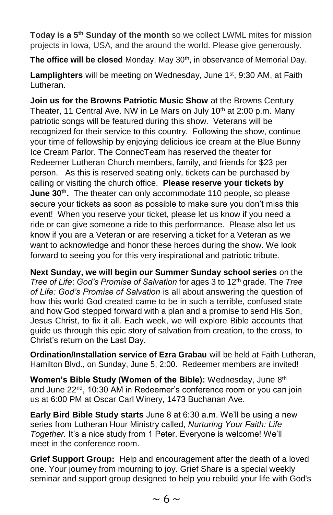**Today is a 5th Sunday of the month** so we collect LWML mites for mission projects in Iowa, USA, and the around the world. Please give generously.

The office will be closed Monday, May 30<sup>th</sup>, in observance of Memorial Day.

Lamplighters will be meeting on Wednesday, June 1<sup>st</sup>, 9:30 AM, at Faith Lutheran.

**Join us for the Browns Patriotic Music Show** at the Browns Century Theater, 11 Central Ave. NW in Le Mars on July 10<sup>th</sup> at 2:00 p.m. Many patriotic songs will be featured during this show. Veterans will be recognized for their service to this country. Following the show, continue your time of fellowship by enjoying delicious ice cream at the Blue Bunny Ice Cream Parlor. The ConnecTeam has reserved the theater for Redeemer Lutheran Church members, family, and friends for \$23 per person. As this is reserved seating only, tickets can be purchased by calling or visiting the church office. **Please reserve your tickets by June 30th .** The theater can only accommodate 110 people, so please secure your tickets as soon as possible to make sure you don't miss this event! When you reserve your ticket, please let us know if you need a ride or can give someone a ride to this performance. Please also let us know if you are a Veteran or are reserving a ticket for a Veteran as we want to acknowledge and honor these heroes during the show. We look forward to seeing you for this very inspirational and patriotic tribute.

**Next Sunday, we will begin our Summer Sunday school series** on the *Tree of Life*: *God's Promise of Salvation* for ages 3 to 12th grade*.* The *Tree of Life: God's Promise of Salvation* is all about answering the question of how this world God created came to be in such a terrible, confused state and how God stepped forward with a plan and a promise to send His Son, Jesus Christ, to fix it all. Each week, we will explore Bible accounts that guide us through this epic story of salvation from creation, to the cross, to Christ's return on the Last Day.

**Ordination/Installation service of Ezra Grabau** will be held at Faith Lutheran, Hamilton Blvd., on Sunday, June 5, 2:00. Redeemer members are invited!

**Women's Bible Study (Women of the Bible):** Wednesday, June 8th and June 22<sup>nd</sup>, 10:30 AM in Redeemer's conference room or you can join us at 6:00 PM at Oscar Carl Winery, 1473 Buchanan Ave.

**Early Bird Bible Study starts** June 8 at 6:30 a.m. We'll be using a new series from Lutheran Hour Ministry called, *Nurturing Your Faith: Life Together.* It's a nice study from 1 Peter. Everyone is welcome! We'll meet in the conference room.

**Grief Support Group:** Help and encouragement after the death of a loved one. Your journey from mourning to joy. Grief Share is a special weekly seminar and support group designed to help you rebuild your life with God's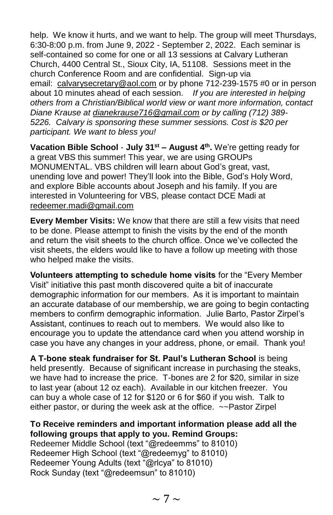help. We know it hurts, and we want to help. The group will meet Thursdays, 6:30-8:00 p.m. from June 9, 2022 - September 2, 2022. Each seminar is self-contained so come for one or all 13 sessions at Calvary Lutheran Church, 4400 Central St., Sioux City, IA, 51108. Sessions meet in the church Conference Room and are confidential. Sign-up via email: [calvarysecretary@aol.com](mailto:calvarysecretary@aol.com) or by phone 712-239-1575 #0 or in person about 10 minutes ahead of each session. *If you are interested in helping others from a Christian/Biblical world view or want more information, contact Diane Krause at [dianekrause716@gmail.com](mailto:dianekrause716@gmail.com) or by calling (712) 389- 5226. Calvary is sponsoring these summer sessions. Cost is \$20 per participant. We want to bless you!*

**Vacation Bible School** - **July 31st – August 4th .** We're getting ready for a great VBS this summer! This year, we are using GROUPs MONUMENTAL. VBS children will learn about God's great, vast, unending love and power! They'll look into the Bible, God's Holy Word, and explore Bible accounts about Joseph and his family. If you are interested in Volunteering for VBS, please contact DCE Madi at [redeemer.madi@gmail.com](mailto:redeemer.madi@gmail.com)

**Every Member Visits:** We know that there are still a few visits that need to be done. Please attempt to finish the visits by the end of the month and return the visit sheets to the church office. Once we've collected the visit sheets, the elders would like to have a follow up meeting with those who helped make the visits.

**Volunteers attempting to schedule home visits** for the "Every Member Visit" initiative this past month discovered quite a bit of inaccurate demographic information for our members. As it is important to maintain an accurate database of our membership, we are going to begin contacting members to confirm demographic information. Julie Barto, Pastor Zirpel's Assistant, continues to reach out to members. We would also like to encourage you to update the attendance card when you attend worship in case you have any changes in your address, phone, or email. Thank you!

**A T-bone steak fundraiser for St. Paul's Lutheran School** is being held presently. Because of significant increase in purchasing the steaks, we have had to increase the price. T-bones are 2 for \$20, similar in size to last year (about 12 oz each). Available in our kitchen freezer. You can buy a whole case of 12 for \$120 or 6 for \$60 if you wish. Talk to either pastor, or during the week ask at the office. ~~Pastor Zirpel

## **To Receive reminders and important information please add all the following groups that apply to you. Remind Groups:**

Redeemer Middle School (text "@redeemms" to 81010) Redeemer High School (text "@redeemyg" to 81010) Redeemer Young Adults (text "@rlcya" to 81010) Rock Sunday (text "@redeemsun" to 81010)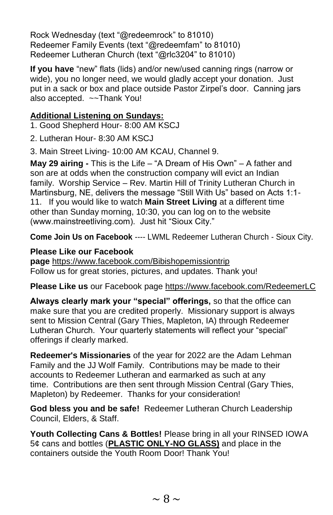Rock Wednesday (text "@redeemrock" to 81010) Redeemer Family Events (text "@redeemfam" to 81010) Redeemer Lutheran Church (text "@rlc3204" to 81010)

**If you have** "new" flats (lids) and/or new/used canning rings (narrow or wide), you no longer need, we would gladly accept your donation. Just put in a sack or box and place outside Pastor Zirpel's door. Canning jars also accepted. ~~Thank You!

## **Additional Listening on Sundays:**

1. Good Shepherd Hour- 8:00 AM KSCJ

2. Lutheran Hour- 8:30 AM KSCJ

3. Main Street Living- 10:00 AM KCAU, Channel 9.

**May 29 airing -** This is the Life – "A Dream of His Own" – A father and son are at odds when the construction company will evict an Indian family. Worship Service – Rev. Martin Hill of Trinity Lutheran Church in Martinsburg, NE, delivers the message "Still With Us" based on Acts 1:1- 11. If you would like to watch **Main Street Living** at a different time other than Sunday morning, 10:30, you can log on to the website (www.mainstreetliving.com). Just hit "Sioux City."

**Come Join Us on Facebook** ---- LWML Redeemer Lutheran Church - Sioux City.

## **Please Like our Facebook**

**page** [https://www.facebook.com/Bibishopemissiontrip](https://www.facebook.com/Bibishopemissiontrip/) Follow us for great stories, pictures, and updates. Thank you!

## **Please Like us** our Facebook page [https://www.facebook.com/RedeemerLC](https://www.facebook.com/RedeemerLC/)

**Always clearly mark your "special" offerings,** so that the office can make sure that you are credited properly. Missionary support is always sent to Mission Central (Gary Thies, Mapleton, IA) through Redeemer Lutheran Church. Your quarterly statements will reflect your "special" offerings if clearly marked.

**Redeemer's Missionaries** of the year for 2022 are the Adam Lehman Family and the JJ Wolf Family. Contributions may be made to their accounts to Redeemer Lutheran and earmarked as such at any time. Contributions are then sent through Mission Central (Gary Thies, Mapleton) by Redeemer. Thanks for your consideration!

**God bless you and be safe!** Redeemer Lutheran Church Leadership Council, Elders, & Staff.

**Youth Collecting Cans & Bottles!** Please bring in all your RINSED IOWA 5¢ cans and bottles (**PLASTIC ONLY-NO GLASS)** and place in the containers outside the Youth Room Door! Thank You!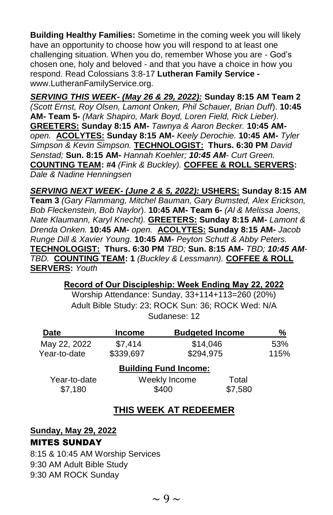**Building Healthy Families:** Sometime in the coming week you will likely have an opportunity to choose how you will respond to at least one challenging situation. When you do, remember Whose you are - God's chosen one, holy and beloved - and that you have a choice in how you respond. Read Colossians 3:8-17 **Lutheran Family Service**  www.LutheranFamilyService.org.

*SERVING THIS WEEK- (May 26 & 29, 2022):* **Sunday 8:15 AM Team 2**  *(Scott Ernst, Roy Olsen, Lamont Onken, Phil Schauer, Brian Duff*). **10:45 AM- Team 5-** *(Mark Shapiro, Mark Boyd, Loren Field, Rick Lieber).* **GREETERS: Sunday 8:15 AM-** *Tawnya & Aaron Becker.* **10:45 AM***open.* **ACOLYTES: Sunday 8:15 AM-** *Keely Derochie.* **10:45 AM-** *Tyler Simpson & Kevin Simpson.* **TECHNOLOGIST:****Thurs. 6:30 PM** *David Senstad;* **Sun. 8:15 AM-** *Hannah Koehler; 10:45 AM- Curt Green.*  **COUNTING TEAM: #4** *(Fink & Buckley).* **COFFEE & ROLL SERVERS:**  *Dale & Nadine Henningsen*

*SERVING NEXT WEEK- (June 2 & 5, 2022):* **USHERS: Sunday 8:15 AM Team 3** *(Gary Flammang, Mitchel Bauman, Gary Bumsted, Alex Erickson, Bob Fleckenstein, Bob Naylor*). **10:45 AM- Team 6-** *(Al & Melissa Joens, Nate Klaumann, Karyl Knecht).* **GREETERS: Sunday 8:15 AM-** *Lamont & Drenda Onken.* **10:45 AM-** *open.* **ACOLYTES: Sunday 8:15 AM-** *Jacob Runge Dill & Xavier Young.* **10:45 AM-** *Peyton Schutt & Abby Peters.*  **TECHNOLOGIST:****Thurs. 6:30 PM** *TBD;* **Sun. 8:15 AM-** *TBD; 10:45 AM-TBD.* **COUNTING TEAM: 1** *(Buckley & Lessmann).* **COFFEE & ROLL SERVERS:** *Youth*

#### **Record of Our Discipleship: Week Ending May 22, 2022**

Worship Attendance: Sunday, 33+114+113=260 (20%) Adult Bible Study: 23; ROCK Sun: 36; ROCK Wed: N/A Sudanese: 12

| <b>Date</b>  | <b>Income</b> | <b>Budgeted Income</b>       |         | %    |
|--------------|---------------|------------------------------|---------|------|
| May 22, 2022 | \$7,414       | \$14,046                     |         | 53%  |
| Year-to-date | \$339,697     | \$294,975                    |         | 115% |
|              |               | <b>Building Fund Income:</b> |         |      |
| Year-to-date |               | Weekly Income                |         |      |
| \$7,180      |               | \$400                        | \$7,580 |      |

#### **THIS WEEK AT REDEEMER**

**Sunday, May 29, 2022** MITES SUNDAY

8:15 & 10:45 AM Worship Services 9:30 AM Adult Bible Study 9:30 AM ROCK Sunday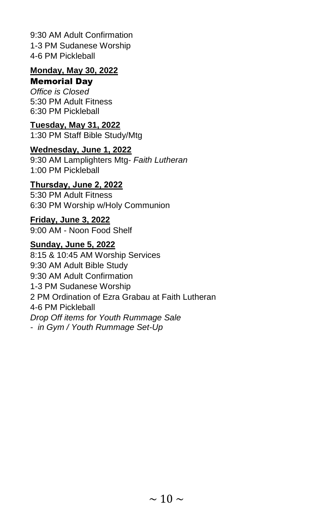9:30 AM Adult Confirmation 1-3 PM Sudanese Worship 4-6 PM Pickleball

## **Monday, May 30, 2022**

#### Memorial Day

*Office is Closed* 5:30 PM Adult Fitness 6:30 PM Pickleball

#### **Tuesday, May 31, 2022**

1:30 PM Staff Bible Study/Mtg

#### **Wednesday, June 1, 2022**

9:30 AM Lamplighters Mtg- *Faith Lutheran* 1:00 PM Pickleball

## **Thursday, June 2, 2022**

5:30 PM Adult Fitness 6:30 PM Worship w/Holy Communion

#### **Friday, June 3, 2022**

9:00 AM - Noon Food Shelf

#### **Sunday, June 5, 2022**

8:15 & 10:45 AM Worship Services 9:30 AM Adult Bible Study 9:30 AM Adult Confirmation 1-3 PM Sudanese Worship 2 PM Ordination of Ezra Grabau at Faith Lutheran 4-6 PM Pickleball *Drop Off items for Youth Rummage Sale - in Gym / Youth Rummage Set-Up*